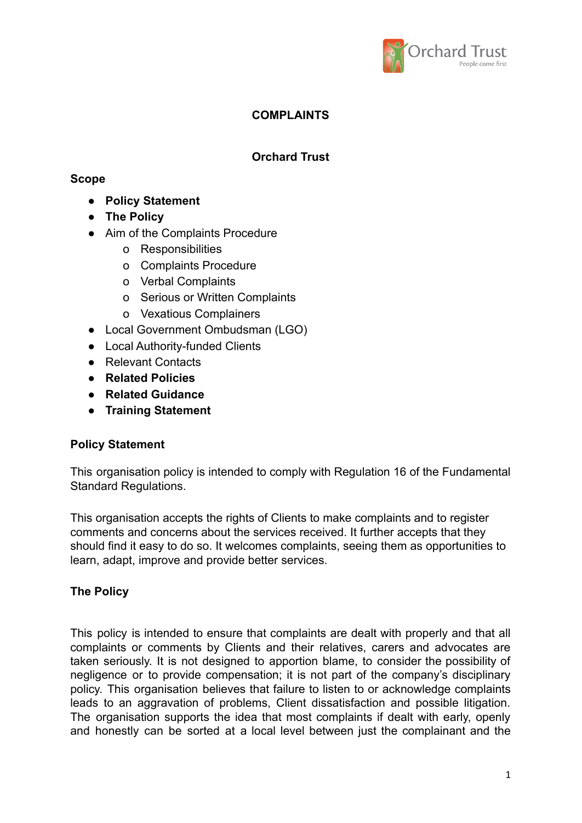

# **COMPLAINTS**

# **Orchard Trust**

## **Scope**

- **● Policy Statement**
- **● The Policy**
- Aim of the Complaints Procedure
	- o Responsibilities
	- o Complaints Procedure
	- o Verbal Complaints
	- o Serious or Written Complaints
	- o Vexatious Complainers
- Local Government Ombudsman (LGO)
- Local Authority-funded Clients
- **●** Relevant Contacts
- **● Related Policies**
- **● Related Guidance**
- **● Training Statement**

## **Policy Statement**

This organisation policy is intended to comply with Regulation 16 of the Fundamental Standard Regulations.

This organisation accepts the rights of Clients to make complaints and to register comments and concerns about the services received. It further accepts that they should find it easy to do so. It welcomes complaints, seeing them as opportunities to learn, adapt, improve and provide better services.

## **The Policy**

This policy is intended to ensure that complaints are dealt with properly and that all complaints or comments by Clients and their relatives, carers and advocates are taken seriously. It is not designed to apportion blame, to consider the possibility of negligence or to provide compensation; it is not part of the company's disciplinary policy. This organisation believes that failure to listen to or acknowledge complaints leads to an aggravation of problems, Client dissatisfaction and possible litigation. The organisation supports the idea that most complaints if dealt with early, openly and honestly can be sorted at a local level between just the complainant and the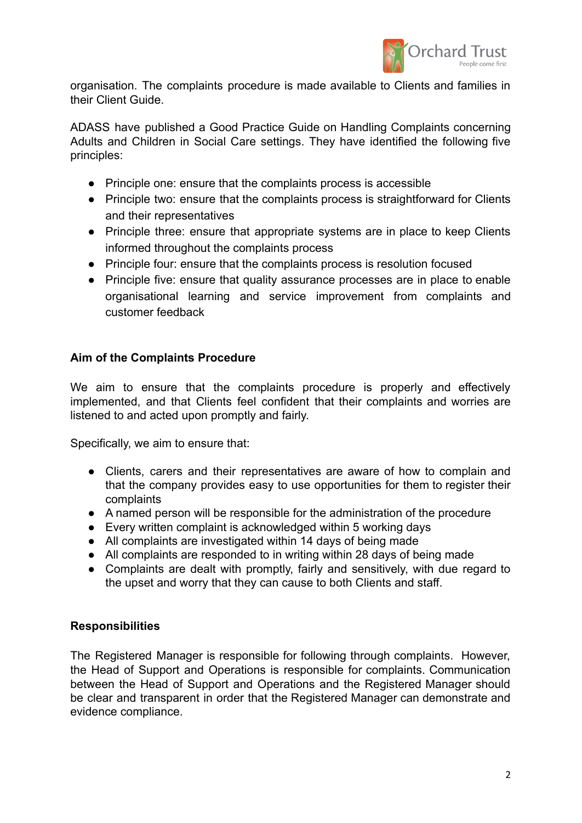

organisation. The complaints procedure is made available to Clients and families in their Client Guide.

ADASS have published a Good Practice Guide on Handling Complaints concerning Adults and Children in Social Care settings. They have identified the following five principles:

- Principle one: ensure that the complaints process is accessible
- Principle two: ensure that the complaints process is straightforward for Clients and their representatives
- Principle three: ensure that appropriate systems are in place to keep Clients informed throughout the complaints process
- Principle four: ensure that the complaints process is resolution focused
- Principle five: ensure that quality assurance processes are in place to enable organisational learning and service improvement from complaints and customer feedback

## **Aim of the Complaints Procedure**

We aim to ensure that the complaints procedure is properly and effectively implemented, and that Clients feel confident that their complaints and worries are listened to and acted upon promptly and fairly.

Specifically, we aim to ensure that:

- Clients, carers and their representatives are aware of how to complain and that the company provides easy to use opportunities for them to register their complaints
- A named person will be responsible for the administration of the procedure
- Every written complaint is acknowledged within 5 working days
- All complaints are investigated within 14 days of being made
- All complaints are responded to in writing within 28 days of being made
- Complaints are dealt with promptly, fairly and sensitively, with due regard to the upset and worry that they can cause to both Clients and staff.

#### **Responsibilities**

The Registered Manager is responsible for following through complaints. However, the Head of Support and Operations is responsible for complaints. Communication between the Head of Support and Operations and the Registered Manager should be clear and transparent in order that the Registered Manager can demonstrate and evidence compliance.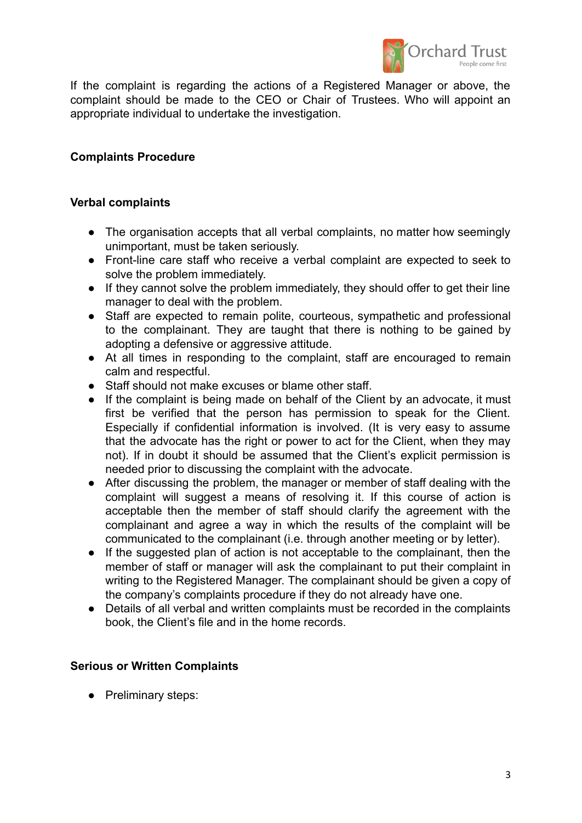

If the complaint is regarding the actions of a Registered Manager or above, the complaint should be made to the CEO or Chair of Trustees. Who will appoint an appropriate individual to undertake the investigation.

## **Complaints Procedure**

#### **Verbal complaints**

- The organisation accepts that all verbal complaints, no matter how seemingly unimportant, must be taken seriously.
- Front-line care staff who receive a verbal complaint are expected to seek to solve the problem immediately.
- If they cannot solve the problem immediately, they should offer to get their line manager to deal with the problem.
- Staff are expected to remain polite, courteous, sympathetic and professional to the complainant. They are taught that there is nothing to be gained by adopting a defensive or aggressive attitude.
- At all times in responding to the complaint, staff are encouraged to remain calm and respectful.
- Staff should not make excuses or blame other staff.
- If the complaint is being made on behalf of the Client by an advocate, it must first be verified that the person has permission to speak for the Client. Especially if confidential information is involved. (It is very easy to assume that the advocate has the right or power to act for the Client, when they may not). If in doubt it should be assumed that the Client's explicit permission is needed prior to discussing the complaint with the advocate.
- After discussing the problem, the manager or member of staff dealing with the complaint will suggest a means of resolving it. If this course of action is acceptable then the member of staff should clarify the agreement with the complainant and agree a way in which the results of the complaint will be communicated to the complainant (i.e. through another meeting or by letter).
- If the suggested plan of action is not acceptable to the complainant, then the member of staff or manager will ask the complainant to put their complaint in writing to the Registered Manager. The complainant should be given a copy of the company's complaints procedure if they do not already have one.
- Details of all verbal and written complaints must be recorded in the complaints book, the Client's file and in the home records.

#### **Serious or Written Complaints**

● Preliminary steps: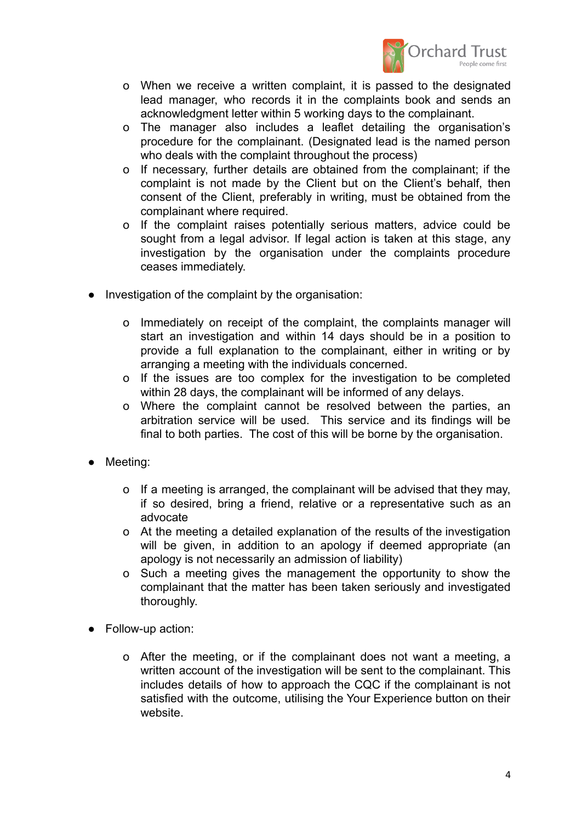

- o When we receive a written complaint, it is passed to the designated lead manager, who records it in the complaints book and sends an acknowledgment letter within 5 working days to the complainant.
- o The manager also includes a leaflet detailing the organisation's procedure for the complainant. (Designated lead is the named person who deals with the complaint throughout the process)
- o If necessary, further details are obtained from the complainant; if the complaint is not made by the Client but on the Client's behalf, then consent of the Client, preferably in writing, must be obtained from the complainant where required.
- o If the complaint raises potentially serious matters, advice could be sought from a legal advisor. If legal action is taken at this stage, any investigation by the organisation under the complaints procedure ceases immediately.
- Investigation of the complaint by the organisation:
	- o Immediately on receipt of the complaint, the complaints manager will start an investigation and within 14 days should be in a position to provide a full explanation to the complainant, either in writing or by arranging a meeting with the individuals concerned.
	- o If the issues are too complex for the investigation to be completed within 28 days, the complainant will be informed of any delays.
	- o Where the complaint cannot be resolved between the parties, an arbitration service will be used. This service and its findings will be final to both parties. The cost of this will be borne by the organisation.
- Meeting:
	- o If a meeting is arranged, the complainant will be advised that they may, if so desired, bring a friend, relative or a representative such as an advocate
	- o At the meeting a detailed explanation of the results of the investigation will be given, in addition to an apology if deemed appropriate (an apology is not necessarily an admission of liability)
	- o Such a meeting gives the management the opportunity to show the complainant that the matter has been taken seriously and investigated thoroughly.
- Follow-up action:
	- o After the meeting, or if the complainant does not want a meeting, a written account of the investigation will be sent to the complainant. This includes details of how to approach the CQC if the complainant is not satisfied with the outcome, utilising the Your Experience button on their website.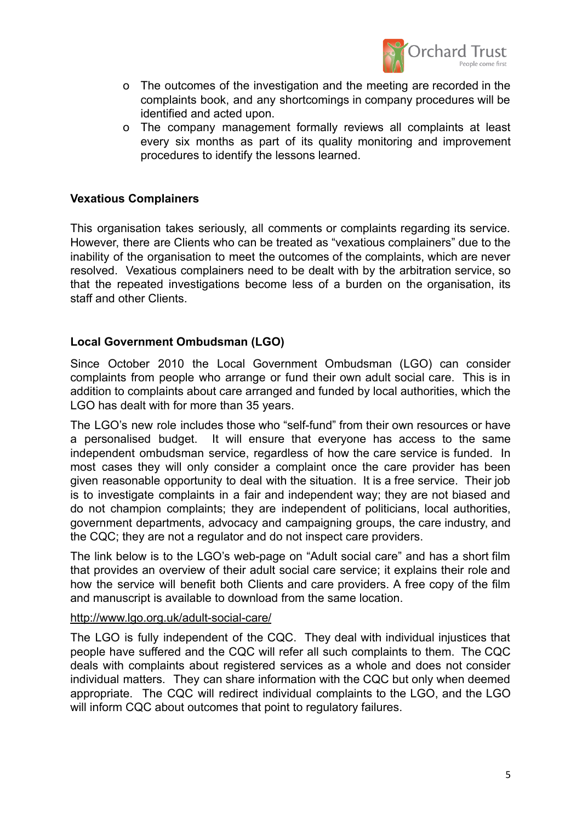

- o The outcomes of the investigation and the meeting are recorded in the complaints book, and any shortcomings in company procedures will be identified and acted upon.
- o The company management formally reviews all complaints at least every six months as part of its quality monitoring and improvement procedures to identify the lessons learned.

## **Vexatious Complainers**

This organisation takes seriously, all comments or complaints regarding its service. However, there are Clients who can be treated as "vexatious complainers" due to the inability of the organisation to meet the outcomes of the complaints, which are never resolved. Vexatious complainers need to be dealt with by the arbitration service, so that the repeated investigations become less of a burden on the organisation, its staff and other Clients.

## **Local Government Ombudsman (LGO)**

Since October 2010 the Local Government Ombudsman (LGO) can consider complaints from people who arrange or fund their own adult social care. This is in addition to complaints about care arranged and funded by local authorities, which the LGO has dealt with for more than 35 years.

The LGO's new role includes those who "self-fund" from their own resources or have a personalised budget. It will ensure that everyone has access to the same independent ombudsman service, regardless of how the care service is funded. In most cases they will only consider a complaint once the care provider has been given reasonable opportunity to deal with the situation. It is a free service. Their job is to investigate complaints in a fair and independent way; they are not biased and do not champion complaints; they are independent of politicians, local authorities, government departments, advocacy and campaigning groups, the care industry, and the CQC; they are not a regulator and do not inspect care providers.

The link below is to the LGO's web-page on "Adult social care" and has a short film that provides an overview of their adult social care service; it explains their role and how the service will benefit both Clients and care providers. A free copy of the film and manuscript is available to download from the same location.

#### <http://www.lgo.org.uk/adult-social-care/>

The LGO is fully independent of the CQC. They deal with individual injustices that people have suffered and the CQC will refer all such complaints to them. The CQC deals with complaints about registered services as a whole and does not consider individual matters. They can share information with the CQC but only when deemed appropriate. The CQC will redirect individual complaints to the LGO, and the LGO will inform CQC about outcomes that point to regulatory failures.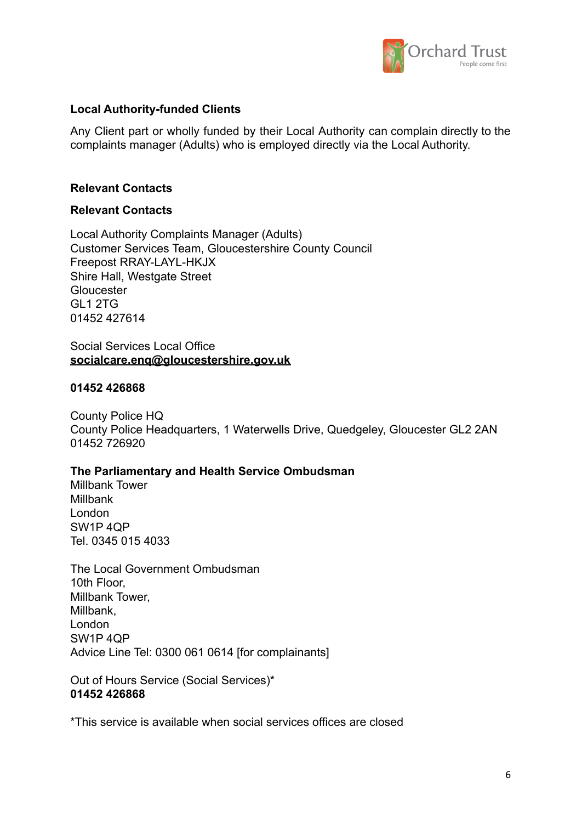

## **Local Authority-funded Clients**

Any Client part or wholly funded by their Local Authority can complain directly to the complaints manager (Adults) who is employed directly via the Local Authority.

### **Relevant Contacts**

#### **Relevant Contacts**

Local Authority Complaints Manager (Adults) Customer Services Team, Gloucestershire County Council Freepost RRAY-LAYL-HKJX Shire Hall, Westgate Street **Gloucester** GL1 2TG 01452 427614

#### Social Services Local Office **[socialcare.enq@gloucestershire.gov.uk](mailto:socialcare.enq@gloucestershire.gov.uk)**

#### **01452 426868**

County Police HQ County Police Headquarters, 1 Waterwells Drive, Quedgeley, Gloucester GL2 2AN 01452 726920

#### **The Parliamentary and Health Service Ombudsman**

Millbank Tower Millbank London SW1P 4QP Tel. 0345 015 4033

The Local Government Ombudsman 10th Floor, Millbank Tower, Millbank, London SW1P 4QP Advice Line Tel: 0300 061 0614 [for complainants]

Out of Hours Service (Social Services)\* **01452 426868**

\*This service is available when social services offices are closed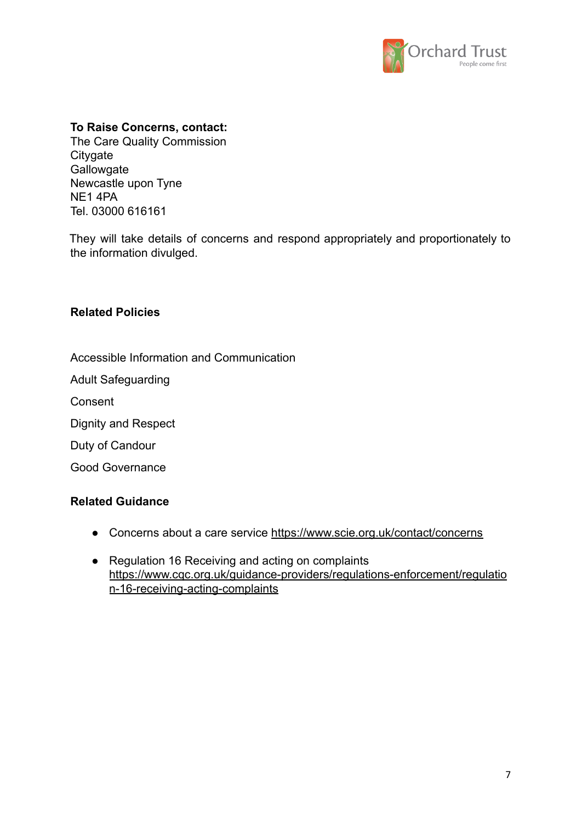

### **To Raise Concerns, contact:**

The Care Quality Commission **Citygate Gallowgate** Newcastle upon Tyne NE1 4PA Tel. 03000 616161

They will take details of concerns and respond appropriately and proportionately to the information divulged.

## **Related Policies**

Accessible Information and Communication

Adult Safeguarding

Consent

Dignity and Respect

Duty of Candour

Good Governance

#### **Related Guidance**

- Concerns about a care service <https://www.scie.org.uk/contact/concerns>
- Regulation 16 Receiving and acting on complaints [https://www.cqc.org.uk/guidance-providers/regulations-enforcement/regulatio](https://www.cqc.org.uk/guidance-providers/regulations-enforcement/regulation-16-receiving-acting-complaints) [n-16-receiving-acting-complaints](https://www.cqc.org.uk/guidance-providers/regulations-enforcement/regulation-16-receiving-acting-complaints)